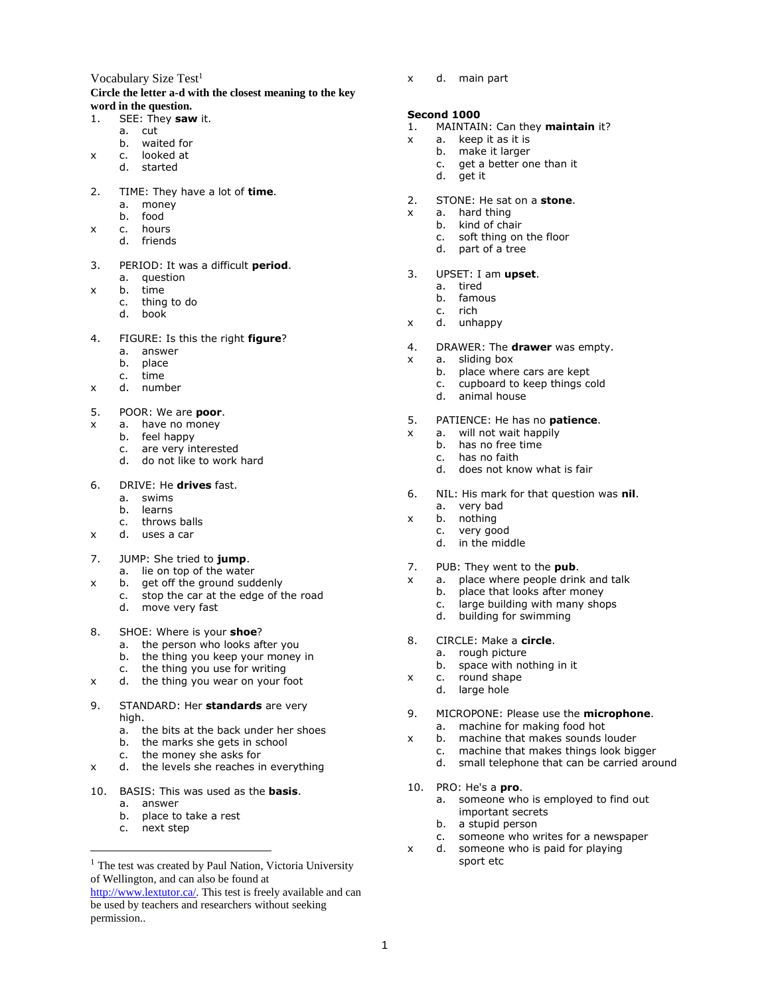### Vocabulary Size Test<sup>1</sup> **Circle the letter a-d with the closest meaning to the key word in the question.**

# 1. SEE: They **saw** it.

- a. cut
	- b. waited for
- x c. looked at
	- d. started
- 2. TIME: They have a lot of **time**.
	- a. money
	- b. food
- x c. hours
	- d. friends
- 3. PERIOD: It was a difficult **period**.
	- a. question
- x b. time
	- c. thing to do
	- d. book
- 4. FIGURE: Is this the right **figure**?
	- a. answer
	- b. place
	- c. time
- x d. number
- 5. POOR: We are **poor**.
- x a. have no money
	- b. feel happy
	- c. are very interested
	- d. do not like to work hard
- 6. DRIVE: He **drives** fast.
	- a. swims
	- b. learns
	- c. throws balls
- x d. uses a car
- 7. JUMP: She tried to **jump**.
	- a. lie on top of the water
- x b. get off the ground suddenly
	- c. stop the car at the edge of the road
	- d. move very fast
- 8. SHOE: Where is your **shoe**?
	- a. the person who looks after you
	- b. the thing you keep your money in
	- c. the thing you use for writing
- x d. the thing you wear on your foot
- 9. STANDARD: Her **standards** are very high.
	- a. the bits at the back under her shoes
	- b. the marks she gets in school
	- c. the money she asks for
- x d. the levels she reaches in everything
- 10. BASIS: This was used as the **basis**.
	- a. answer
		- b. place to take a rest
		- c. next step

 $\overline{a}$ 

x d. main part

## **Second 1000**

- 1. MAINTAIN: Can they **maintain** it?
- x a. keep it as it is
	- b. make it larger
	- c. get a better one than it
	- d. get it
- 2. STONE: He sat on a **stone**.
- x a. hard thing
	- b. kind of chair
		- c. soft thing on the floor
		- d. part of a tree
- 3. UPSET: I am **upset**.
	- a. tired
	- b. famous
	- c. rich
- x d. unhappy
- 4. DRAWER: The **drawer** was empty.
- x a. sliding box
	- b. place where cars are kept
	- c. cupboard to keep things cold
	- d. animal house
- 5. PATIENCE: He has no **patience**.
- x a. will not wait happily
	- b. has no free time
	- c. has no faith
	- d. does not know what is fair
- 6. NIL: His mark for that question was **nil**.
- a. very bad
- x b. nothing c. very good
	- d. in the middle
	-
- 7. PUB: They went to the **pub**.
- x a. place where people drink and talk
	- b. place that looks after money c. large building with many shops
	- d. building for swimming
	-
- 8. CIRCLE: Make a **circle**.
	- a. rough picture
	- b. space with nothing in it
- x c. round shape
	- d. large hole
- 9. MICROPONE: Please use the **microphone**. a. machine for making food hot
- x b. machine that makes sounds louder
	- c. machine that makes things look bigger
	- d. small telephone that can be carried around
- 10. PRO: He's a **pro**.

sport etc

1

a. someone who is employed to find out important secrets b. a stupid person

c. someone who writes for a newspaper

x d. someone who is paid for playing

<sup>&</sup>lt;sup>1</sup> The test was created by Paul Nation, Victoria University of Wellington, and can also be found at

[http://www.lextutor.ca/.](http://www.lextutor.ca/) This test is freely available and can be used by teachers and researchers without seeking permission..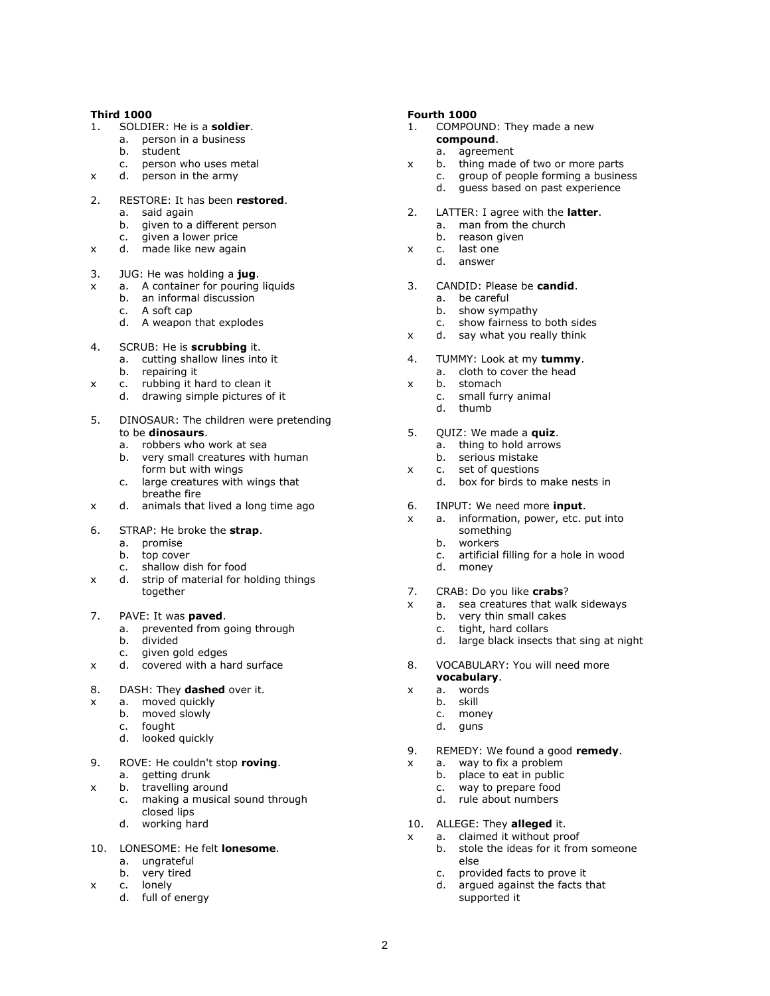### **Third 1000**

- 1. SOLDIER: He is a **soldier**.
	- a. person in a business
	- b. student
	- c. person who uses metal
- x d. person in the army
- 2. RESTORE: It has been **restored**.
	- a. said again
	- b. given to a different person
	- c. given a lower price
- x d. made like new again
- 3. JUG: He was holding a **jug**.
- x a. A container for pouring liquids
	- b. an informal discussion
	- c. A soft cap
	- d. A weapon that explodes
- 4. SCRUB: He is **scrubbing** it.
	- a. cutting shallow lines into it
	- b. repairing it
- x c. rubbing it hard to clean it
	- d. drawing simple pictures of it
- 5. DINOSAUR: The children were pretending to be **dinosaurs**.
	- a. robbers who work at sea
	- b. very small creatures with human form but with wings
	- c. large creatures with wings that breathe fire
- x d. animals that lived a long time ago
- 6. STRAP: He broke the **strap**.
	- a. promise
	- b. top cover
	- c. shallow dish for food<br>d strip of material for h
- x d. strip of material for holding things together
- 7. PAVE: It was **paved**.
	- a. prevented from going through
	- b. divided
	- c. given gold edges
- x d. covered with a hard surface
- 8. DASH: They **dashed** over it.
- x a. moved quickly
	- b. moved slowly
	- c. fought
	- d. looked quickly
- 9. ROVE: He couldn't stop **roving**. a. getting drunk
- x b. travelling around
	- c. making a musical sound through closed lips
	- d. working hard
- 10. LONESOME: He felt **lonesome**.
	- a. ungrateful
	- b. very tired
- x c. lonely
	- d. full of energy

## **Fourth 1000**

- 1. COMPOUND: They made a new **compound**.
	- a. agreement
- x b. thing made of two or more parts
	- c. group of people forming a business
		- d. guess based on past experience
- 2. LATTER: I agree with the **latter**. a. man from the church
	- b. reason given
- x c. last one
	- d. answer
- 3. CANDID: Please be **candid**.
	- a. be careful
	- b. show sympathy
	- c. show fairness to both sides
- x d. say what you really think
- 4. TUMMY: Look at my **tummy**. a. cloth to cover the head
	-
- x b. stomach
	- c. small furry animal d. thumb
	-
- 5. QUIZ: We made a **quiz**. a. thing to hold arrows
	- b. serious mistake
- x c. set of questions
	- d. box for birds to make nests in
- 6. INPUT: We need more **input**.
- x a. information, power, etc. put into something
	- b. workers
	- c. artificial filling for a hole in wood
	- d. money
- 7. CRAB: Do you like **crabs**?
- x a. sea creatures that walk sideways
	- b. very thin small cakes
	- c. tight, hard collars
	- d. large black insects that sing at night
- 8. VOCABULARY: You will need more
- **vocabulary**. x a. words
	- b. skill

2

- c. money
- d. guns
- 
- 9. REMEDY: We found a good **remedy**.
- x a. way to fix a problem
	- b. place to eat in public
	- c. way to prepare food
	- d. rule about numbers
- 10. ALLEGE: They **alleged** it.
- x a. claimed it without proof
	- b. stole the ideas for it from someone else
	- c. provided facts to prove it
	- d. argued against the facts that supported it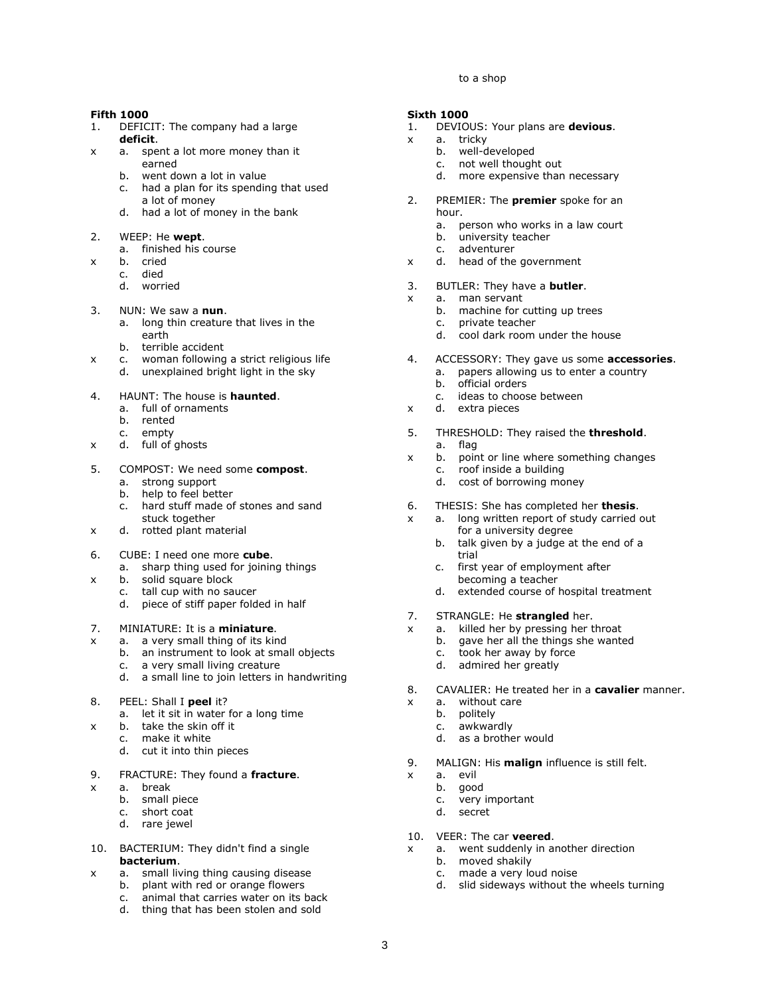#### to a shop

#### **Fifth 1000**

- 1. DEFICIT: The company had a large **deficit**.
- x a. spent a lot more money than it earned
	- b. went down a lot in value
	- c. had a plan for its spending that used a lot of money
	- d. had a lot of money in the bank

#### 2. WEEP: He **wept**.

- a. finished his course
- x b. cried
	- c. died
	- d. worried
- 3. NUN: We saw a **nun**.
	- a. long thin creature that lives in the earth
	- b. terrible accident
- x c. woman following a strict religious life
	- d. unexplained bright light in the sky
- 4. HAUNT: The house is **haunted**.
	- a. full of ornaments
		- b. rented
		- c. empty
- x d. full of ghosts
- 5. COMPOST: We need some **compost**.
	- a. strong support
	- b. help to feel better
	- c. hard stuff made of stones and sand stuck together
- x d. rotted plant material
- 6. CUBE: I need one more **cube**.
	- a. sharp thing used for joining things<br>b. solid square block
- x b. solid square block
	- tall cup with no saucer
		- d. piece of stiff paper folded in half

### 7. MINIATURE: It is a **miniature**.

- x a. a very small thing of its kind
	- b. an instrument to look at small objects
	- c. a very small living creature
	- d. a small line to join letters in handwriting
- 8. PEEL: Shall I **peel** it?
	- a. let it sit in water for a long time
- x b. take the skin off it
	- c. make it white
		- d. cut it into thin pieces
- 9. FRACTURE: They found a **fracture**.
- x a. break
	- b. small piece
	- c. short coat
	- d. rare jewel
- 10. BACTERIUM: They didn't find a single **bacterium**.
- x a. small living thing causing disease
	- b. plant with red or orange flowers
	- c. animal that carries water on its back
	- thing that has been stolen and sold

#### **Sixth 1000**

- 1. DEVIOUS: Your plans are **devious**.
- x a. tricky
	- b. well-developed
	- c. not well thought out
	- d. more expensive than necessary
- 2. PREMIER: The **premier** spoke for an hour.
	- a. person who works in a law court
	- b. university teacher
	- c. adventurer
- x d. head of the government
- 3. BUTLER: They have a **butler**.
- x a. man servant
	- b. machine for cutting up trees
	- c. private teacher
	- d. cool dark room under the house
- 4. ACCESSORY: They gave us some **accessories**.
	- a. papers allowing us to enter a country
	- b. official orders
	- c. ideas to choose between
- x d. extra pieces
- 5. THRESHOLD: They raised the **threshold**.
	- a. flag
- x b. point or line where something changes c. roof inside a building
	- d. cost of borrowing money
- 6. THESIS: She has completed her **thesis**.
- x a. long written report of study carried out for a university degree
	- b. talk given by a judge at the end of a trial
	- c. first year of employment after becoming a teacher
	- d. extended course of hospital treatment
- 7. STRANGLE: He **strangled** her.
- x a. killed her by pressing her throat
	- b. gave her all the things she wanted
	- c. took her away by force
	- d. admired her greatly
- 8. CAVALIER: He treated her in a **cavalier** manner.
- x a. without care
	- b. politely
	- c. awkwardly
	- d. as a brother would
- 9. MALIGN: His **malign** influence is still felt.
- x a. evil

3

- b. good
- c. very important
- d. secret
- 10. VEER: The car **veered**.
- x a. went suddenly in another direction

d. slid sideways without the wheels turning

c. made a very loud noise

b. moved shakily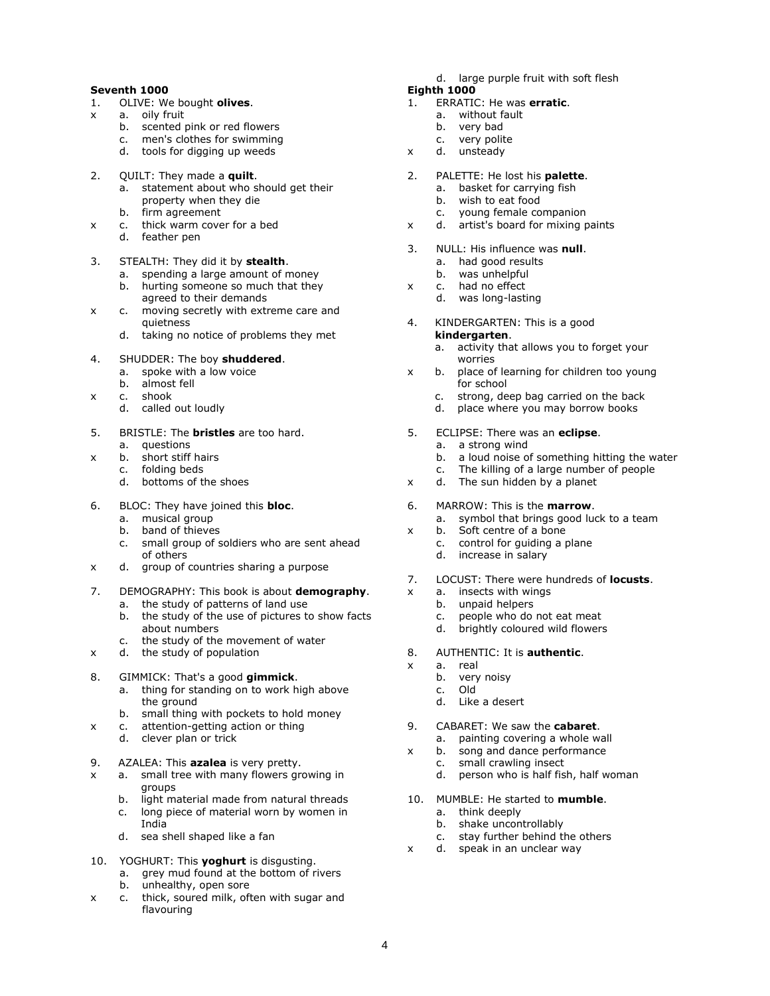## **Seventh 1000**

- 1. OLIVE: We bought **olives**.
- x a. oily fruit
	- b. scented pink or red flowers<br>c. men's clothes for swimming
	- men's clothes for swimming
	- d. tools for digging up weeds
- 2. QUILT: They made a **quilt**.
	- a. statement about who should get their property when they die
	- b. firm agreement
- x c. thick warm cover for a bed
	- d. feather pen
- 3. STEALTH: They did it by **stealth**.
	- a. spending a large amount of money
	- b. hurting someone so much that they agreed to their demands
- x c. moving secretly with extreme care and quietness
	- d. taking no notice of problems they met
- 4. SHUDDER: The boy **shuddered**.
	- a. spoke with a low voice
	- b. almost fell
- x c. shook
	- d. called out loudly
- 5. BRISTLE: The **bristles** are too hard.
	- a. questions
- x b. short stiff hairs
	- c. folding beds d. bottoms of the shoes
	-
- 6. BLOC: They have joined this **bloc**.
	- a. musical group
	- b. band of thieves
	- c. small group of soldiers who are sent ahead of others
- x d. group of countries sharing a purpose
- 7. DEMOGRAPHY: This book is about **demography**.
	- a. the study of patterns of land use
	- b. the study of the use of pictures to show facts about numbers
	- c. the study of the movement of water
- x d. the study of population
- 8. GIMMICK: That's a good **gimmick**.
	- a. thing for standing on to work high above the ground
	- b. small thing with pockets to hold money
- x c. attention-getting action or thing
	- d. clever plan or trick
- 9. AZALEA: This **azalea** is very pretty.
- x a. small tree with many flowers growing in groups
	- b. light material made from natural threads
	- c. long piece of material worn by women in India
	- d. sea shell shaped like a fan
- 10. YOGHURT: This **yoghurt** is disgusting.
	- a. grey mud found at the bottom of rivers
	- b. unhealthy, open sore
- x c. thick, soured milk, often with sugar and flavouring
- d. large purple fruit with soft flesh
- **Eighth 1000**
- 1. ERRATIC: He was **erratic**.
	- a. without fault
	- b. very bad
	- c. very polite
- x d. unsteady
- 2. PALETTE: He lost his **palette**.
	- a. basket for carrying fish
	- b. wish to eat food
	- c. young female companion
- x d. artist's board for mixing paints
- 3. NULL: His influence was **null**. a. had good results
	- b. was unhelpful
- x c. had no effect
	- d. was long-lasting
- 4. KINDERGARTEN: This is a good **kindergarten**.
	- a. activity that allows you to forget your worries
- x b. place of learning for children too young for school
	- c. strong, deep bag carried on the back
	- d. place where you may borrow books
- 5. ECLIPSE: There was an **eclipse**.
	- a. a strong wind
	- b. a loud noise of something hitting the water
	- c. The killing of a large number of people
- x d. The sun hidden by a planet
- 6. MARROW: This is the **marrow**.
	- a. symbol that brings good luck to a team
- x b. Soft centre of a bone
	- c. control for guiding a plane
	- d. increase in salary
- 7. LOCUST: There were hundreds of **locusts**.
- x a. insects with wings
	- b. unpaid helpers
	- c. people who do not eat meat
	- d. brightly coloured wild flowers
- 8. AUTHENTIC: It is **authentic**.
- x a. real

4

- b. very noisy
- c. Old
- d. Like a desert
- 9. CABARET: We saw the **cabaret**.
	- a. painting covering a whole wall
- x b. song and dance performance
	- c. small crawling insect
	- d. person who is half fish, half woman
- 10. MUMBLE: He started to **mumble**.
	- a. think deeply
	- b. shake uncontrollably
- stay further behind the others c. stay further behind the c<br>x d. speak in an unclear way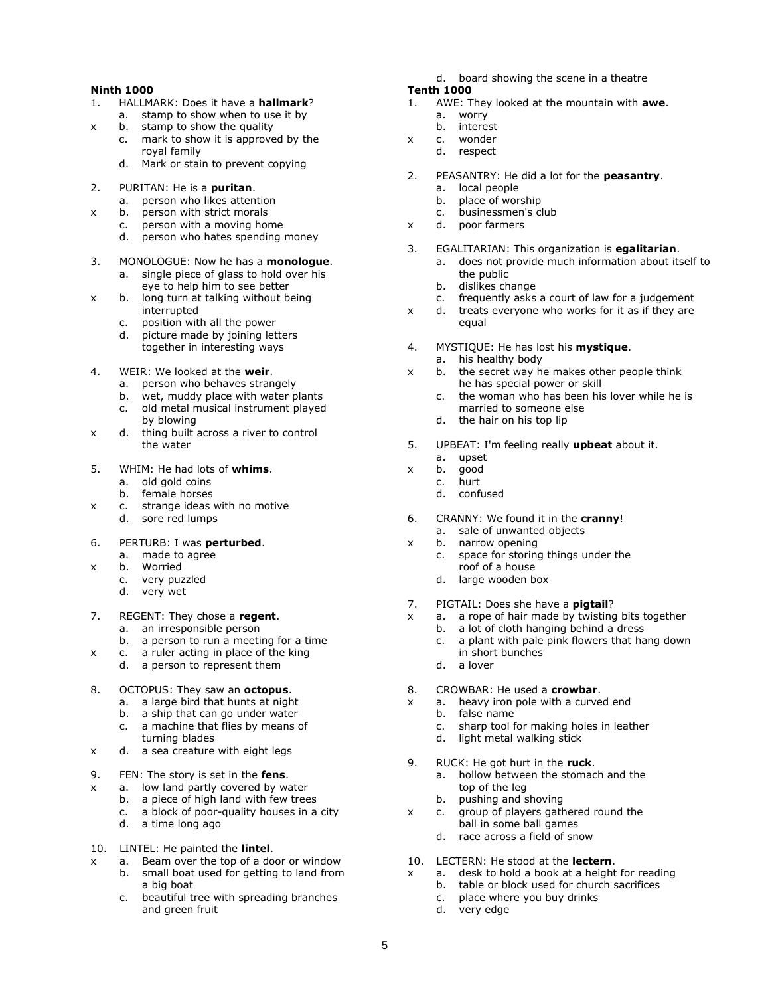## **Ninth 1000**

- 1. HALLMARK: Does it have a **hallmark**?
- a. stamp to show when to use it by
- x b. stamp to show the quality
	- c. mark to show it is approved by the royal family
		- d. Mark or stain to prevent copying
- 2. PURITAN: He is a **puritan**.
	- a. person who likes attention
- x b. person with strict morals
	- c. person with a moving home
	- d. person who hates spending money
- 3. MONOLOGUE: Now he has a **monologue**.
	- a. single piece of glass to hold over his eye to help him to see better
- x b. long turn at talking without being interrupted
	- c. position with all the power
	- d. picture made by joining letters together in interesting ways
- 4. WEIR: We looked at the **weir**.
	- a. person who behaves strangely
	- b. wet, muddy place with water plants
	- c. old metal musical instrument played by blowing
- x d. thing built across a river to control the water
- 5. WHIM: He had lots of **whims**.
	- a. old gold coins
	- b. female horses
- x c. strange ideas with no motive d. sore red lumps

6. PERTURB: I was **perturbed**.

- a. made to agree
- x b. Worried
	- c. very puzzled
		- d. very wet
- 7. REGENT: They chose a **regent**.
	- a. an irresponsible person
	- b. a person to run a meeting for a time
- x c. a ruler acting in place of the king
	- d. a person to represent them
- 8. OCTOPUS: They saw an **octopus**.
	- a. a large bird that hunts at night
	- b. a ship that can go under water
	- c. a machine that flies by means of turning blades
- x d. a sea creature with eight legs
- 9. FEN: The story is set in the **fens**.
- x a. low land partly covered by water
	- b. a piece of high land with few trees
	- c. a block of poor-quality houses in a city d. a time long ago
- 10. LINTEL: He painted the **lintel**.
- x a. Beam over the top of a door or window
	- b. small boat used for getting to land from a big boat
	- c. beautiful tree with spreading branches and green fruit
- d. board showing the scene in a theatre
- **Tenth 1000**
- 1. AWE: They looked at the mountain with **awe**.
	- a. worry
- b. interest x c. wonder
	- d. respect
- 2. PEASANTRY: He did a lot for the **peasantry**.
	- a. local people
	- b. place of worship
	- c. businessmen's club
- x d. poor farmers
- 3. EGALITARIAN: This organization is **egalitarian**. a. does not provide much information about itself to
	- the public
		- b. dislikes change
	- c. frequently asks a court of law for a judgement
- x d. treats everyone who works for it as if they are equal
- 4. MYSTIQUE: He has lost his **mystique**.
	- a. his healthy body
- x b. the secret way he makes other people think he has special power or skill
	- c. the woman who has been his lover while he is married to someone else
	- d. the hair on his top lip
- 5. UPBEAT: I'm feeling really **upbeat** about it.
	- a. upset
- x b. good
	- c. hurt
	- d. confused
- 6. CRANNY: We found it in the **cranny**! a. sale of unwanted objects
- x b. narrow opening
	- c. space for storing things under the roof of a house
	- d. large wooden box
- 7. PIGTAIL: Does she have a **pigtail**?
- x a. a rope of hair made by twisting bits together
	- b. a lot of cloth hanging behind a dress
	- c. a plant with pale pink flowers that hang down in short bunches
	- d. a lover
- 8. CROWBAR: He used a **crowbar**.
- x a. heavy iron pole with a curved end
	- b. false name
	- c. sharp tool for making holes in leather
	- d. light metal walking stick
- 9. RUCK: He got hurt in the **ruck**.
	- a. hollow between the stomach and the top of the leg
	- b. pushing and shoving
- x c. group of players gathered round the ball in some ball games
	- d. race across a field of snow
- 10. LECTERN: He stood at the **lectern**.
- x a. desk to hold a book at a height for reading
	- b. table or block used for church sacrifices
	- c. place where you buy drinks
	- d. very edge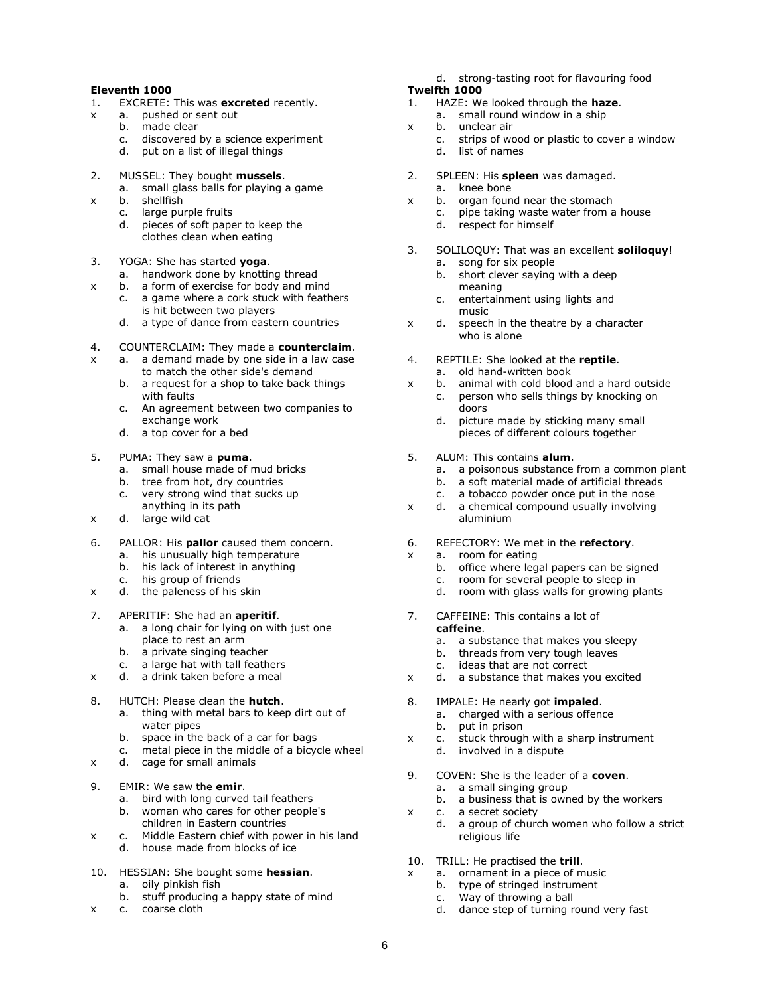## **Eleventh 1000**

- 1. EXCRETE: This was **excreted** recently.
- x a. pushed or sent out
	- b. made clear<br>c. discovered
	- discovered by a science experiment
	- d. put on a list of illegal things
- 2. MUSSEL: They bought **mussels**.
	- a. small glass balls for playing a game<br>b. shellfish
- x b. shellfish
	- c. large purple fruits
	- d. pieces of soft paper to keep the clothes clean when eating
- 3. YOGA: She has started **yoga**.
	- a. handwork done by knotting thread<br>b. a form of exercise for body and mir
- x b. a form of exercise for body and mind
	- c. a game where a cork stuck with feathers is hit between two players
	- d. a type of dance from eastern countries
- 4. COUNTERCLAIM: They made a **counterclaim**.
- $x \cdot a$ . a demand made by one side in a law case to match the other side's demand
	- b. a request for a shop to take back things with faults
	- c. An agreement between two companies to exchange work
	- d. a top cover for a bed
- 5. PUMA: They saw a **puma**.
	- a. small house made of mud bricks
	- b. tree from hot, dry countries
	- c. very strong wind that sucks up anything in its path
- x d. large wild cat
- 6. PALLOR: His **pallor** caused them concern.
	- a. his unusually high temperature
	- b. his lack of interest in anything
	- c. his group of friends
- x d. the paleness of his skin
- 7. APERITIF: She had an **aperitif**.
	- a. a long chair for lying on with just one place to rest an arm
	-
	- b. a private singing teacher<br>c. a large hat with tall feathers c. a large hat with tall feathers
- x d. a drink taken before a meal
- 8. HUTCH: Please clean the **hutch**.
	- a. thing with metal bars to keep dirt out of water pipes
	- b. space in the back of a car for bags
- metal piece in the middle of a bicycle wheel c. metal piece in the mide<br>x d. cage for small animals
- 
- 9. EMIR: We saw the **emir**.
	- a. bird with long curved tail feathers
	- b. woman who cares for other people's children in Eastern countries
- x c. Middle Eastern chief with power in his land d. house made from blocks of ice
- 10. HESSIAN: She bought some **hessian**. a. oily pinkish fish
	- b. stuff producing a happy state of mind
- x c. coarse cloth
- d. strong-tasting root for flavouring food
- **Twelfth 1000**
- 1. HAZE: We looked through the **haze**. a. small round window in a ship
- x b. unclear air
	- c. strips of wood or plastic to cover a window
		- d. list of names
- 2. SPLEEN: His **spleen** was damaged.
	- a. knee bone
- x b. organ found near the stomach
	- c. pipe taking waste water from a house
	- d. respect for himself
- 3. SOLILOQUY: That was an excellent **soliloquy**! a. song for six people
	- b. short clever saying with a deep meaning
	- c. entertainment using lights and music
- x d. speech in the theatre by a character who is alone
- 4. REPTILE: She looked at the **reptile**. a. old hand-written book
- x b. animal with cold blood and a hard outside
	- c. person who sells things by knocking on doors
		- d. picture made by sticking many small pieces of different colours together
- 5. ALUM: This contains **alum**.
	- a. a poisonous substance from a common plant
	- b. a soft material made of artificial threads
	- c. a tobacco powder once put in the nose
- x d. a chemical compound usually involving aluminium
- 6. REFECTORY: We met in the **refectory**.
- x a. room for eating
	- b. office where legal papers can be signed
	- c. room for several people to sleep in
	- d. room with glass walls for growing plants
- 7. CAFFEINE: This contains a lot of **caffeine**.
	- a. a substance that makes you sleepy
	- b. threads from very tough leaves<br>c. ideas that are not correct
	- ideas that are not correct
- x d. a substance that makes you excited
- 8. IMPALE: He nearly got **impaled**.
	- a. charged with a serious offence
	- b. put in prison
- x c. stuck through with a sharp instrument
	- d. involved in a dispute
- 9. COVEN: She is the leader of a **coven**.
	- a. a small singing group
		- b. a business that is owned by the workers
- x c. a secret society
	- d. a group of church women who follow a strict religious life
- 10. TRILL: He practised the **trill**.
- x a. ornament in a piece of music
	- b. type of stringed instrument
	- c. Way of throwing a ball
	- d. dance step of turning round very fast